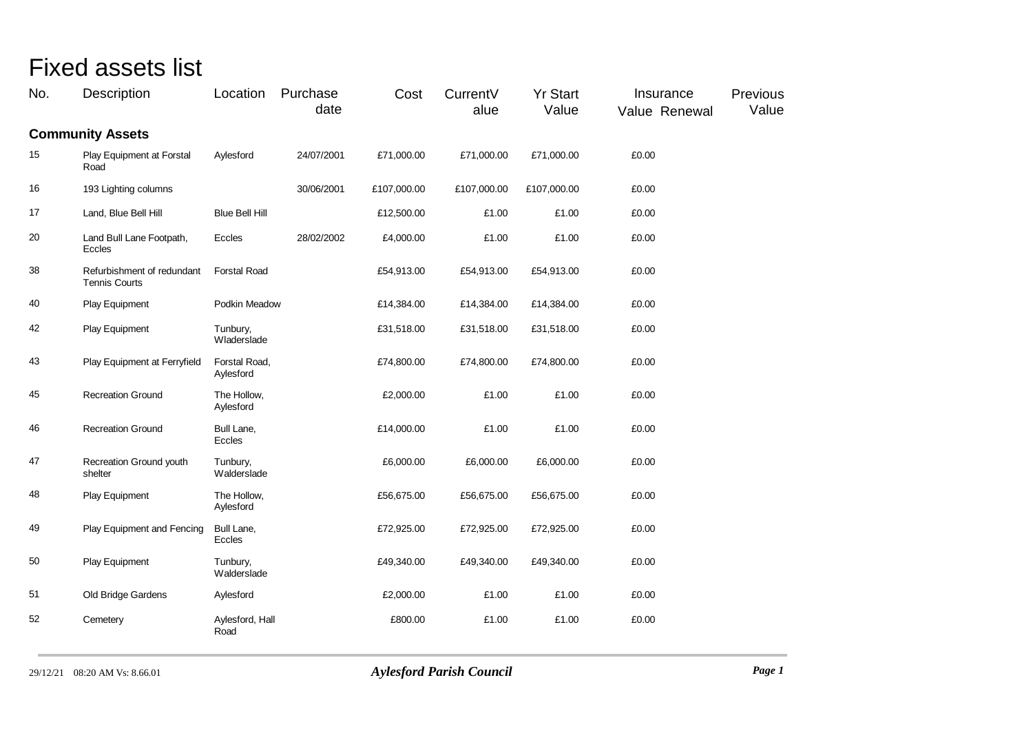## Fixed assets list

| No. | Description                                        | Location                   | Purchase<br>date | Cost        | CurrentV<br>alue | <b>Yr Start</b><br>Value | Insurance<br>Value Renewal | Previous<br>Value |
|-----|----------------------------------------------------|----------------------------|------------------|-------------|------------------|--------------------------|----------------------------|-------------------|
|     | <b>Community Assets</b>                            |                            |                  |             |                  |                          |                            |                   |
| 15  | Play Equipment at Forstal<br>Road                  | Aylesford                  | 24/07/2001       | £71,000.00  | £71,000.00       | £71,000.00               | £0.00                      |                   |
| 16  | 193 Lighting columns                               |                            | 30/06/2001       | £107,000.00 | £107,000.00      | £107,000.00              | £0.00                      |                   |
| 17  | Land, Blue Bell Hill                               | <b>Blue Bell Hill</b>      |                  | £12,500.00  | £1.00            | £1.00                    | £0.00                      |                   |
| 20  | Land Bull Lane Footpath,<br>Eccles                 | Eccles                     | 28/02/2002       | £4,000.00   | £1.00            | £1.00                    | £0.00                      |                   |
| 38  | Refurbishment of redundant<br><b>Tennis Courts</b> | <b>Forstal Road</b>        |                  | £54,913.00  | £54,913.00       | £54,913.00               | £0.00                      |                   |
| 40  | Play Equipment                                     | Podkin Meadow              |                  | £14,384.00  | £14,384.00       | £14,384.00               | £0.00                      |                   |
| 42  | Play Equipment                                     | Tunbury,<br>Wladerslade    |                  | £31,518.00  | £31,518.00       | £31,518.00               | £0.00                      |                   |
| 43  | Play Equipment at Ferryfield                       | Forstal Road,<br>Aylesford |                  | £74,800.00  | £74,800.00       | £74,800.00               | £0.00                      |                   |
| 45  | <b>Recreation Ground</b>                           | The Hollow,<br>Aylesford   |                  | £2,000.00   | £1.00            | £1.00                    | £0.00                      |                   |
| 46  | <b>Recreation Ground</b>                           | Bull Lane,<br>Eccles       |                  | £14,000.00  | £1.00            | £1.00                    | £0.00                      |                   |
| 47  | Recreation Ground youth<br>shelter                 | Tunbury,<br>Walderslade    |                  | £6,000.00   | £6,000.00        | £6,000.00                | £0.00                      |                   |
| 48  | Play Equipment                                     | The Hollow,<br>Aylesford   |                  | £56,675.00  | £56,675.00       | £56,675.00               | £0.00                      |                   |
| 49  | Play Equipment and Fencing                         | Bull Lane,<br>Eccles       |                  | £72,925.00  | £72,925.00       | £72,925.00               | £0.00                      |                   |
| 50  | Play Equipment                                     | Tunbury,<br>Walderslade    |                  | £49,340.00  | £49,340.00       | £49,340.00               | £0.00                      |                   |
| 51  | Old Bridge Gardens                                 | Aylesford                  |                  | £2,000.00   | £1.00            | £1.00                    | £0.00                      |                   |
| 52  | Cemetery                                           | Aylesford, Hall<br>Road    |                  | £800.00     | £1.00            | £1.00                    | £0.00                      |                   |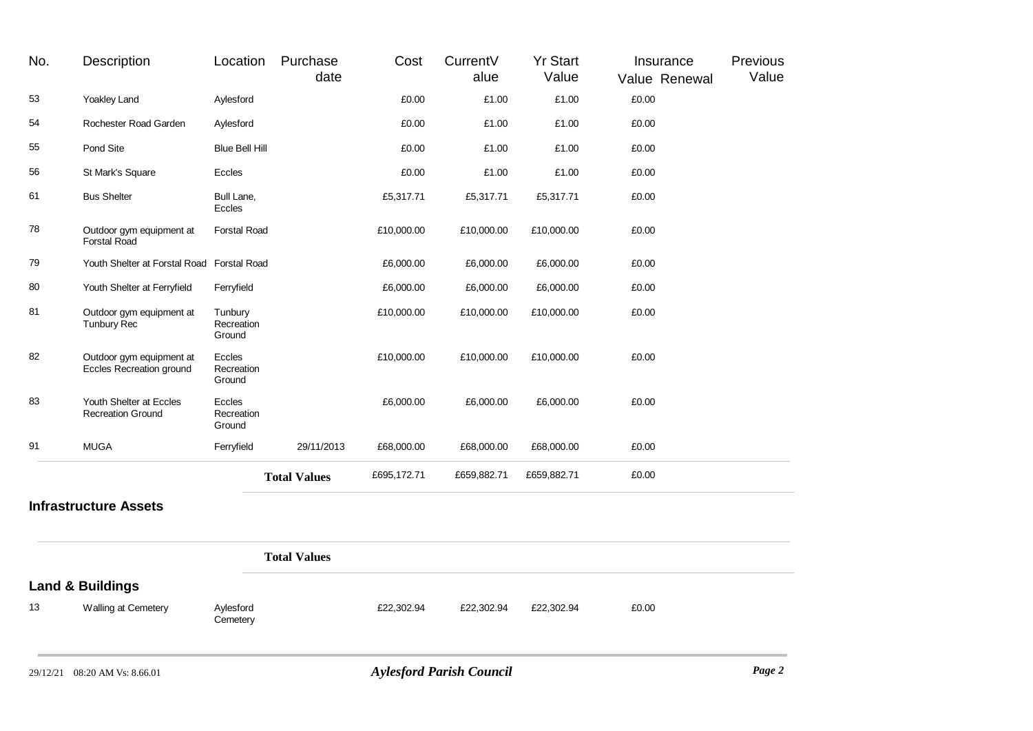| No. | Description                                          | Location                        | Purchase<br>date    | Cost        | CurrentV<br>alue | <b>Yr Start</b><br>Value | Insurance<br>Value Renewal | Previous<br>Value |
|-----|------------------------------------------------------|---------------------------------|---------------------|-------------|------------------|--------------------------|----------------------------|-------------------|
| 53  | Yoakley Land                                         | Aylesford                       |                     | £0.00       | £1.00            | £1.00                    | £0.00                      |                   |
| 54  | Rochester Road Garden                                | Aylesford                       |                     | £0.00       | £1.00            | £1.00                    | £0.00                      |                   |
| 55  | Pond Site                                            | <b>Blue Bell Hill</b>           |                     | £0.00       | £1.00            | £1.00                    | £0.00                      |                   |
| 56  | St Mark's Square                                     | Eccles                          |                     | £0.00       | £1.00            | £1.00                    | £0.00                      |                   |
| 61  | <b>Bus Shelter</b>                                   | Bull Lane,<br>Eccles            |                     | £5,317.71   | £5,317.71        | £5,317.71                | £0.00                      |                   |
| 78  | Outdoor gym equipment at<br><b>Forstal Road</b>      | <b>Forstal Road</b>             |                     | £10,000.00  | £10,000.00       | £10,000.00               | £0.00                      |                   |
| 79  | Youth Shelter at Forstal Road Forstal Road           |                                 |                     | £6,000.00   | £6,000.00        | £6,000.00                | £0.00                      |                   |
| 80  | Youth Shelter at Ferryfield                          | Ferryfield                      |                     | £6,000.00   | £6,000.00        | £6,000.00                | £0.00                      |                   |
| 81  | Outdoor gym equipment at<br><b>Tunbury Rec</b>       | Tunbury<br>Recreation<br>Ground |                     | £10,000.00  | £10,000.00       | £10,000.00               | £0.00                      |                   |
| 82  | Outdoor gym equipment at<br>Eccles Recreation ground | Eccles<br>Recreation<br>Ground  |                     | £10,000.00  | £10,000.00       | £10,000.00               | £0.00                      |                   |
| 83  | Youth Shelter at Eccles<br><b>Recreation Ground</b>  | Eccles<br>Recreation<br>Ground  |                     | £6,000.00   | £6,000.00        | £6,000.00                | £0.00                      |                   |
| 91  | <b>MUGA</b>                                          | Ferryfield                      | 29/11/2013          | £68,000.00  | £68,000.00       | £68,000.00               | £0.00                      |                   |
|     |                                                      |                                 | <b>Total Values</b> | £695,172.71 | £659,882.71      | £659,882.71              | £0.00                      |                   |
|     | <b>Infrastructure Assets</b>                         |                                 |                     |             |                  |                          |                            |                   |
|     |                                                      |                                 | <b>Total Values</b> |             |                  |                          |                            |                   |

|  |  | <b>Land &amp; Buildings</b> |
|--|--|-----------------------------|
|--|--|-----------------------------|

13

Aylesford<br>Cemetery

Walling at Cemetery Aylesford £22,302.94 £22,302.94 £22,302.94 £0.00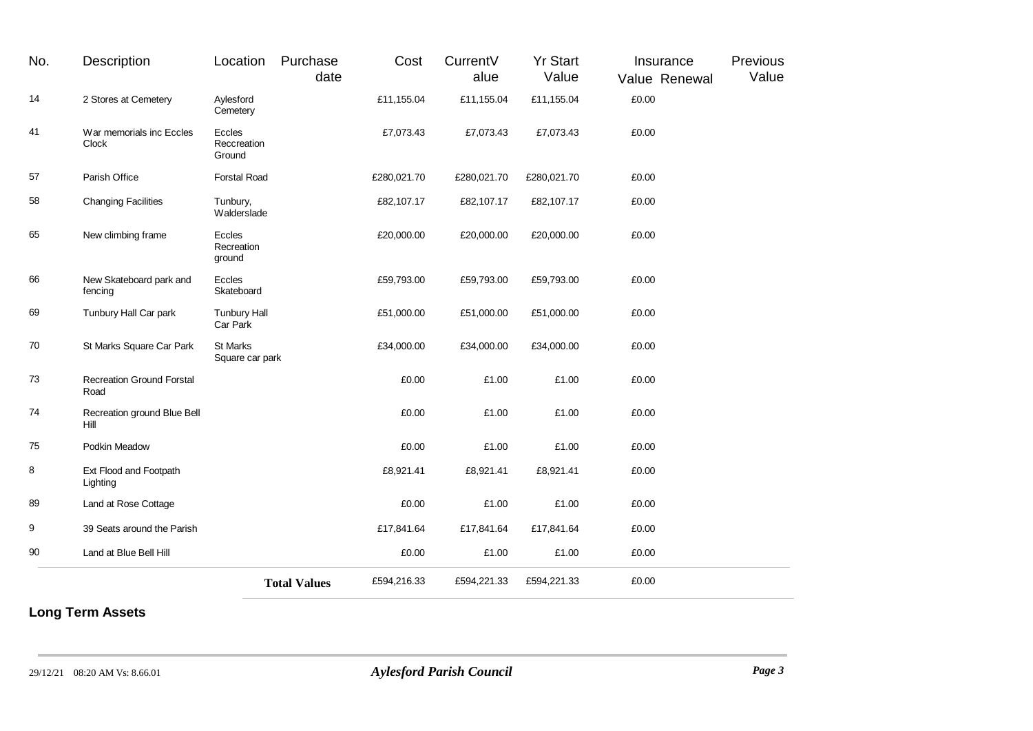| No. | <b>Description</b>                       | Location                        | Purchase<br>date    | Cost        | CurrentV<br>alue | <b>Yr Start</b><br>Value | Insurance<br>Value Renewal | Previous<br>Value |
|-----|------------------------------------------|---------------------------------|---------------------|-------------|------------------|--------------------------|----------------------------|-------------------|
| 14  | 2 Stores at Cemetery                     | Aylesford<br>Cemetery           |                     | £11,155.04  | £11,155.04       | £11,155.04               | £0.00                      |                   |
| 41  | War memorials inc Eccles<br>Clock        | Eccles<br>Reccreation<br>Ground |                     | £7,073.43   | £7,073.43        | £7,073.43                | £0.00                      |                   |
| 57  | Parish Office                            | <b>Forstal Road</b>             |                     | £280,021.70 | £280,021.70      | £280,021.70              | £0.00                      |                   |
| 58  | <b>Changing Facilities</b>               | Tunbury,<br>Walderslade         |                     | £82,107.17  | £82,107.17       | £82,107.17               | £0.00                      |                   |
| 65  | New climbing frame                       | Eccles<br>Recreation<br>ground  |                     | £20,000.00  | £20,000.00       | £20,000.00               | £0.00                      |                   |
| 66  | New Skateboard park and<br>fencing       | Eccles<br>Skateboard            |                     | £59,793.00  | £59,793.00       | £59,793.00               | £0.00                      |                   |
| 69  | Tunbury Hall Car park                    | <b>Tunbury Hall</b><br>Car Park |                     | £51,000.00  | £51,000.00       | £51,000.00               | £0.00                      |                   |
| 70  | St Marks Square Car Park                 | St Marks<br>Square car park     |                     | £34,000.00  | £34,000.00       | £34,000.00               | £0.00                      |                   |
| 73  | <b>Recreation Ground Forstal</b><br>Road |                                 |                     | £0.00       | £1.00            | £1.00                    | £0.00                      |                   |
| 74  | Recreation ground Blue Bell<br>Hill      |                                 |                     | £0.00       | £1.00            | £1.00                    | £0.00                      |                   |
| 75  | Podkin Meadow                            |                                 |                     | £0.00       | £1.00            | £1.00                    | £0.00                      |                   |
| 8   | Ext Flood and Footpath<br>Lighting       |                                 |                     | £8,921.41   | £8,921.41        | £8,921.41                | £0.00                      |                   |
| 89  | Land at Rose Cottage                     |                                 |                     | £0.00       | £1.00            | £1.00                    | £0.00                      |                   |
| 9   | 39 Seats around the Parish               |                                 |                     | £17,841.64  | £17,841.64       | £17,841.64               | £0.00                      |                   |
| 90  | Land at Blue Bell Hill                   |                                 |                     | £0.00       | £1.00            | £1.00                    | £0.00                      |                   |
|     |                                          |                                 | <b>Total Values</b> | £594,216.33 | £594,221.33      | £594,221.33              | £0.00                      |                   |

## **Long Term Assets**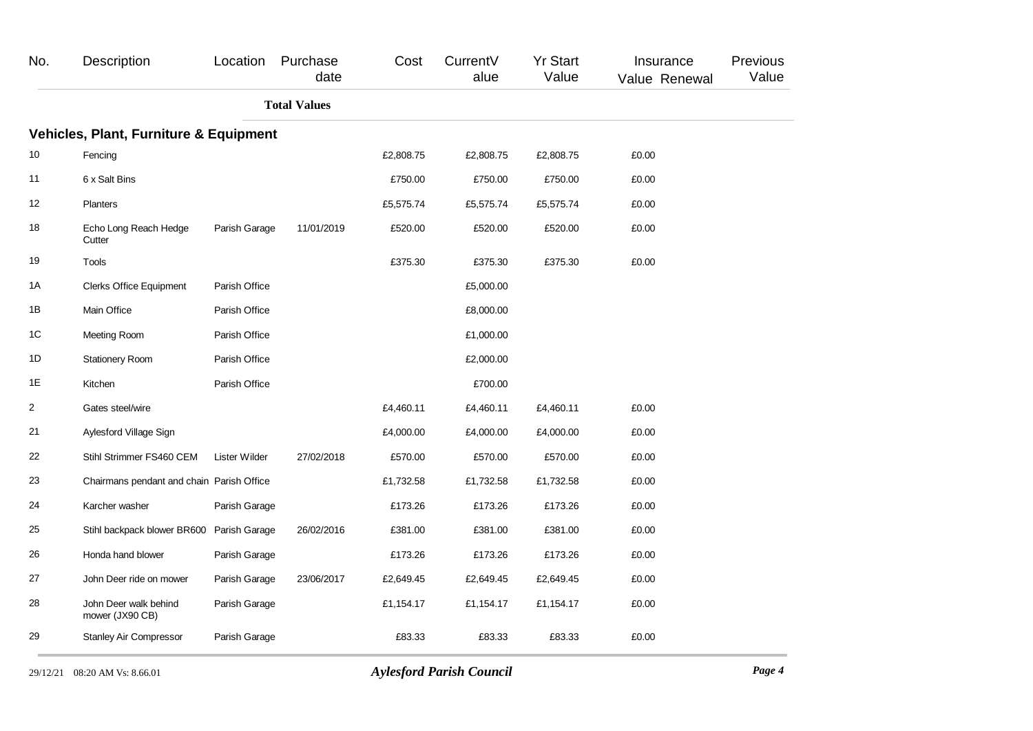| No. | Description                                       | Location      | Purchase<br>date    | Cost      | CurrentV<br>alue | <b>Yr Start</b><br>Value | Insurance<br>Value Renewal | Previous<br>Value |
|-----|---------------------------------------------------|---------------|---------------------|-----------|------------------|--------------------------|----------------------------|-------------------|
|     |                                                   |               | <b>Total Values</b> |           |                  |                          |                            |                   |
|     | <b>Vehicles, Plant, Furniture &amp; Equipment</b> |               |                     |           |                  |                          |                            |                   |
| 10  | Fencing                                           |               |                     | £2,808.75 | £2,808.75        | £2,808.75                | £0.00                      |                   |
| 11  | 6 x Salt Bins                                     |               |                     | £750.00   | £750.00          | £750.00                  | £0.00                      |                   |
| 12  | <b>Planters</b>                                   |               |                     | £5,575.74 | £5,575.74        | £5,575.74                | £0.00                      |                   |
| 18  | Echo Long Reach Hedge<br>Cutter                   | Parish Garage | 11/01/2019          | £520.00   | £520.00          | £520.00                  | £0.00                      |                   |
| 19  | Tools                                             |               |                     | £375.30   | £375.30          | £375.30                  | £0.00                      |                   |
| 1A  | <b>Clerks Office Equipment</b>                    | Parish Office |                     |           | £5,000.00        |                          |                            |                   |
| 1B  | Main Office                                       | Parish Office |                     |           | £8,000.00        |                          |                            |                   |
| 1C  | Meeting Room                                      | Parish Office |                     |           | £1,000.00        |                          |                            |                   |
| 1D  | <b>Stationery Room</b>                            | Parish Office |                     |           | £2,000.00        |                          |                            |                   |
| 1E  | Kitchen                                           | Parish Office |                     |           | £700.00          |                          |                            |                   |
| 2   | Gates steel/wire                                  |               |                     | £4,460.11 | £4,460.11        | £4,460.11                | £0.00                      |                   |
| 21  | Aylesford Village Sign                            |               |                     | £4,000.00 | £4,000.00        | £4,000.00                | £0.00                      |                   |
| 22  | Stihl Strimmer FS460 CEM                          | Lister Wilder | 27/02/2018          | £570.00   | £570.00          | £570.00                  | £0.00                      |                   |
| 23  | Chairmans pendant and chain Parish Office         |               |                     | £1,732.58 | £1,732.58        | £1,732.58                | £0.00                      |                   |
| 24  | Karcher washer                                    | Parish Garage |                     | £173.26   | £173.26          | £173.26                  | £0.00                      |                   |
| 25  | Stihl backpack blower BR600                       | Parish Garage | 26/02/2016          | £381.00   | £381.00          | £381.00                  | £0.00                      |                   |
| 26  | Honda hand blower                                 | Parish Garage |                     | £173.26   | £173.26          | £173.26                  | £0.00                      |                   |
| 27  | John Deer ride on mower                           | Parish Garage | 23/06/2017          | £2,649.45 | £2,649.45        | £2,649.45                | £0.00                      |                   |
| 28  | John Deer walk behind<br>mower (JX90 CB)          | Parish Garage |                     | £1,154.17 | £1,154.17        | £1,154.17                | £0.00                      |                   |
| 29  | <b>Stanley Air Compressor</b>                     | Parish Garage |                     | £83.33    | £83.33           | £83.33                   | £0.00                      |                   |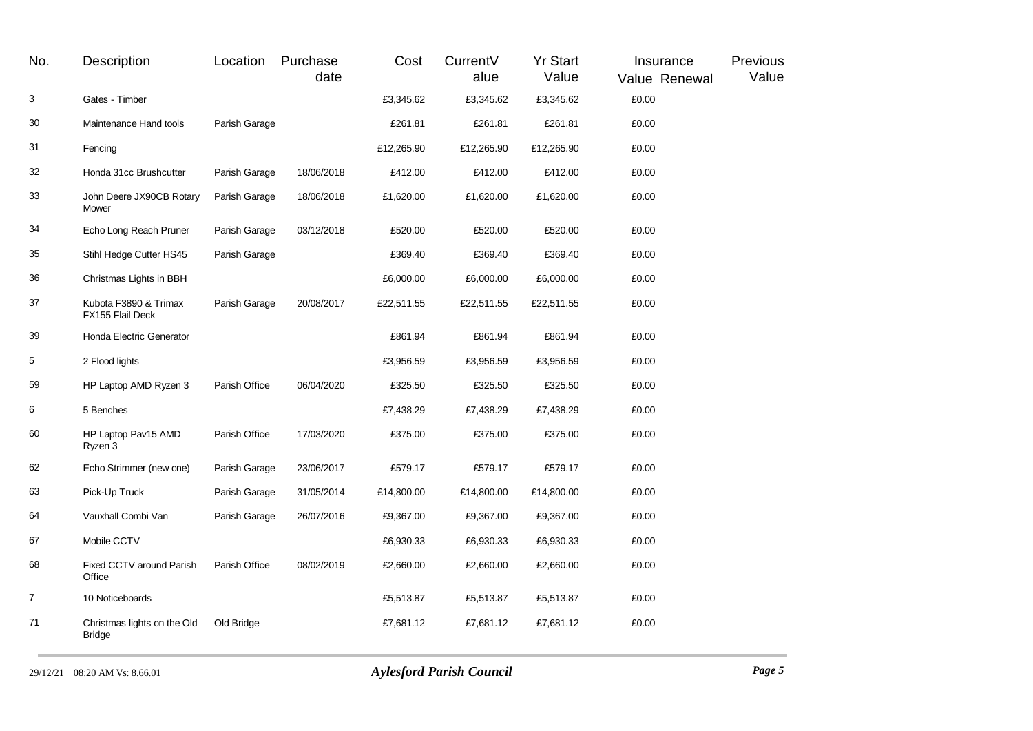| No.            | Description                                  | Location      | Purchase<br>date | Cost       | CurrentV<br>alue | <b>Yr Start</b><br>Value | Insurance<br>Value Renewal | Previous<br>Value |
|----------------|----------------------------------------------|---------------|------------------|------------|------------------|--------------------------|----------------------------|-------------------|
| 3              | Gates - Timber                               |               |                  | £3,345.62  | £3,345.62        | £3,345.62                | £0.00                      |                   |
| 30             | Maintenance Hand tools                       | Parish Garage |                  | £261.81    | £261.81          | £261.81                  | £0.00                      |                   |
| 31             | Fencing                                      |               |                  | £12,265.90 | £12,265.90       | £12,265.90               | £0.00                      |                   |
| 32             | Honda 31cc Brushcutter                       | Parish Garage | 18/06/2018       | £412.00    | £412.00          | £412.00                  | £0.00                      |                   |
| 33             | John Deere JX90CB Rotary<br>Mower            | Parish Garage | 18/06/2018       | £1,620.00  | £1,620.00        | £1,620.00                | £0.00                      |                   |
| 34             | Echo Long Reach Pruner                       | Parish Garage | 03/12/2018       | £520.00    | £520.00          | £520.00                  | £0.00                      |                   |
| 35             | Stihl Hedge Cutter HS45                      | Parish Garage |                  | £369.40    | £369.40          | £369.40                  | £0.00                      |                   |
| 36             | Christmas Lights in BBH                      |               |                  | £6,000.00  | £6,000.00        | £6,000.00                | £0.00                      |                   |
| 37             | Kubota F3890 & Trimax<br>FX155 Flail Deck    | Parish Garage | 20/08/2017       | £22,511.55 | £22,511.55       | £22,511.55               | £0.00                      |                   |
| 39             | Honda Electric Generator                     |               |                  | £861.94    | £861.94          | £861.94                  | £0.00                      |                   |
| 5              | 2 Flood lights                               |               |                  | £3,956.59  | £3,956.59        | £3,956.59                | £0.00                      |                   |
| 59             | HP Laptop AMD Ryzen 3                        | Parish Office | 06/04/2020       | £325.50    | £325.50          | £325.50                  | £0.00                      |                   |
| 6              | 5 Benches                                    |               |                  | £7,438.29  | £7,438.29        | £7,438.29                | £0.00                      |                   |
| 60             | HP Laptop Pav15 AMD<br>Ryzen 3               | Parish Office | 17/03/2020       | £375.00    | £375.00          | £375.00                  | £0.00                      |                   |
| 62             | Echo Strimmer (new one)                      | Parish Garage | 23/06/2017       | £579.17    | £579.17          | £579.17                  | £0.00                      |                   |
| 63             | Pick-Up Truck                                | Parish Garage | 31/05/2014       | £14,800.00 | £14,800.00       | £14,800.00               | £0.00                      |                   |
| 64             | Vauxhall Combi Van                           | Parish Garage | 26/07/2016       | £9,367.00  | £9,367.00        | £9,367.00                | £0.00                      |                   |
| 67             | Mobile CCTV                                  |               |                  | £6,930.33  | £6,930.33        | £6,930.33                | £0.00                      |                   |
| 68             | Fixed CCTV around Parish<br>Office           | Parish Office | 08/02/2019       | £2,660.00  | £2,660.00        | £2,660.00                | £0.00                      |                   |
| $\overline{7}$ | 10 Noticeboards                              |               |                  | £5,513.87  | £5,513.87        | £5,513.87                | £0.00                      |                   |
| 71             | Christmas lights on the Old<br><b>Bridge</b> | Old Bridge    |                  | £7,681.12  | £7,681.12        | £7,681.12                | £0.00                      |                   |